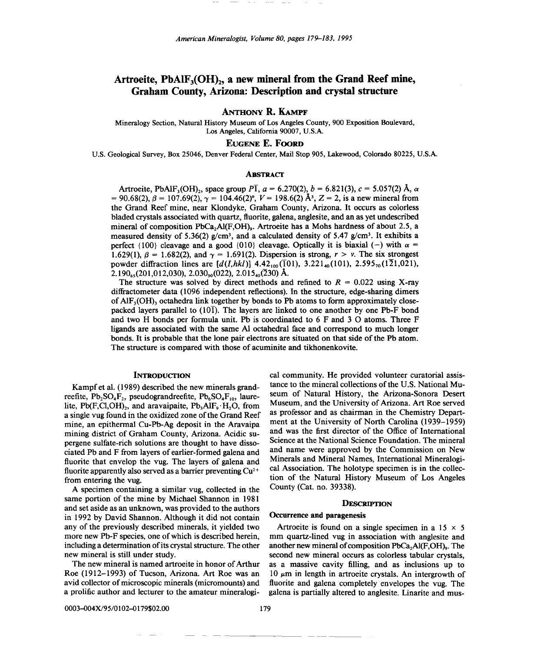# Artroeite,  $PbAlF_3(OH)_2$ , a new mineral from the Grand Reef mine, Graham County, Arizona: Description and crystal structure

ANTHONY R. KAMPF

Mineralogy Section, Natural History Museum of Los Angeles County, 900 Exposition Boulevard, Los Angeles, California 90007, U.SA

# EUGENE E. FOORD

U.S. Geological Survey, Box 25046, Denver Federal Center, Mail Stop 905, Lakewood, Colorado 80225, U.S.A.

### **ABSTRACT**

Artroeite, PbAlF<sub>3</sub>(OH)<sub>2</sub>, space group  $P\bar{1}$ ,  $a = 6.270(2)$ ,  $b = 6.821(3)$ ,  $c = 5.057(2)$  Å,  $\alpha$  $= 90.68(2), \beta = 107.69(2), \gamma = 104.46(2)$ °,  $V = 198.6(2)$  Å<sup>3</sup>,  $Z = 2$ , is a new mineral from the Grand Reef mine, near Klondyke, Graham County, Arizona. It occurs as colorless bladed crystals associated with quartz, fluorite, galena, anglesite, and an as yet undescribed mineral of composition PbCa<sub>2</sub>Al(F,OH)<sub>9</sub>. Artroeite has a Mohs hardness of about 2.5, a measured density of 5.36(2)  $g/cm^3$ , and a calculated density of 5.47  $g/cm^3$ . It exhibits a perfect {100} cleavage and a good {010} cleavage. Optically it is biaxial (-) with  $\alpha$  = 1.629(1),  $\beta = 1.682(2)$ , and  $\gamma = 1.691(2)$ . Dispersion is strong,  $r > v$ . The six strongest powder diffraction lines are  $[d(I,hkl)]$  4.42<sub>100</sub>(101), 3.221<sub>40</sub>(101), 2.595<sub>70</sub>(121,021),  $2.190_{65}(201,012,030)$ ,  $2.030_{50}(022)$ ,  $2.015_{40}(230)$  Å.

The structure was solved by direct methods and refined to  $R = 0.022$  using X-ray diffractometer data (1096 independent reflections). In the structure, edge-sharing dimers of  $AIF_3(OH)$ <sub>3</sub> octahedra link together by bonds to Pb atoms to form approximately closepacked layers parallel to  $(10\bar{T})$ . The layers are linked to one another by one Pb-F bond and two H bonds per formula unit. Pb is coordinated to 6 F and 3 0 atoms. Three F ligands are associated with the same Al octahedral face and correspond to much longer bonds. It is probable that the lone pair electrons are situated on that side of the Pb atom. The structure is compared with those of acuminite and tikhonenkovite.

#### **INTRODUCTION**

Kampf et al. (1989) described the new minerals grandreefite,  $Pb_2SO_4F_2$ , pseudograndreefite,  $Pb_6SO_4F_{10}$ , laurelite, Pb(F,Cl,OH) $_2$ , and aravaipaite, Pb<sub>3</sub>AlF<sub>9</sub> $\cdot$ H<sub>2</sub>O, from a single vug found in the oxidized zone of the Grand Reef mine, an epithermal Cu-Pb-Ag deposit in the Aravaipa mining district of Graham County, Arizona. Acidic supergene sulfate-rich solutions are thought to have dissociated Pb and F from layers of earlier-formed galena and fluorite that envelop the vug. The layers of galena and fluorite apparently also served as a barrier preventing  $Cu^{2+}$ from entering the vug.

A specimen containing a similar vug, collected in the same portion of the mine by Michael Shannon in 1981 and set aside as an unknown, was provided to the authors in 1992 by David Shannon. Although it did not contain any of the previously described minerals, it yielded two more new Pb-F species, one of which is described herein, including a determination of its crystal structure. The other new mineral is still under study.

The new mineral is named artroeite in honor of Arthur Roe (1912-1993) of Tucson, Arizona. Art Roe was an avid collector of microscopic minerals (micromounts) and a prolific author and lecturer to the amateur mineralogical community. He provided volunteer curatorial assistance to the mineral collections of the U.S. National Museum of Natural History, the Arizona-Sonora Desert Museum, and the University of Arizona. Art Roe served as professor and as chairman in the Chemistry Department at the University of North Carolina (1939-1959) and was the first director of the Office of International Science at the National Science Foundation. The mineral and name were approved by the Commission on New Minerals and Mineral Names, International Mineralogical Association. The holotype specimen is in the collection of the Natural History Museum of Los Angeles County (Cat. no. 39338).

#### **DESCRIPTION**

# Occurrence and paragenesis

Artroeite is found on a single specimen in a  $15 \times 5$ mm quartz-lined vug in association with anglesite and another new mineral of composition  $PbCa<sub>2</sub>Al(F,OH)_{9}$ . The second new mineral occurs as colorless tabular crystals, as a massive cavity filling, and as inclusions up to  $10 \mu m$  in length in artroeite crystals. An intergrowth of fluorite and galena completely envelopes the vug. The galena is partially altered to anglesite. Linarite and mus-

0003-004X/95/0102-0179\$02.00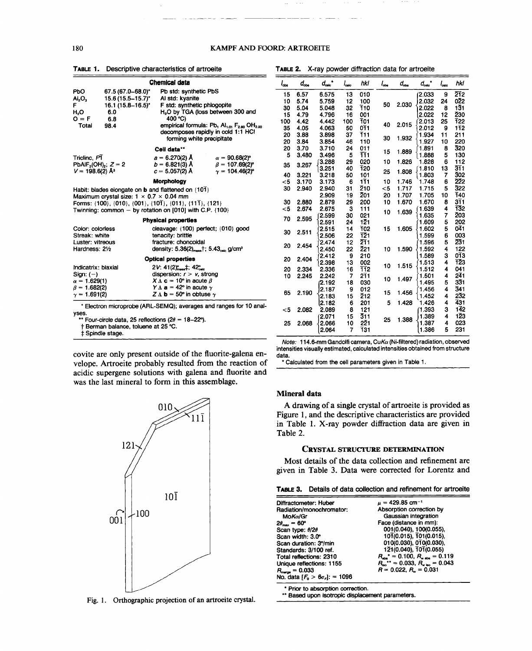|                               | Chemical data                                                                                                                                                                                                                             |                                                                                                                                                   |                                               |  |  |  |  |  |  |
|-------------------------------|-------------------------------------------------------------------------------------------------------------------------------------------------------------------------------------------------------------------------------------------|---------------------------------------------------------------------------------------------------------------------------------------------------|-----------------------------------------------|--|--|--|--|--|--|
| PЬO                           | 67.5 (67.0–68.0)*                                                                                                                                                                                                                         | Pb std: synthetic PbS                                                                                                                             |                                               |  |  |  |  |  |  |
| Al,O,                         | 15.6 (15.5–15.7)*                                                                                                                                                                                                                         | Al std: kvanite                                                                                                                                   |                                               |  |  |  |  |  |  |
| F.                            | 16.1 (15.8–16.5)*                                                                                                                                                                                                                         | F std: synthetic phlogopite                                                                                                                       |                                               |  |  |  |  |  |  |
| H,O                           | 6.0                                                                                                                                                                                                                                       |                                                                                                                                                   | H <sub>2</sub> O by TGA (loss between 300 and |  |  |  |  |  |  |
| $O = F$                       | 6.8                                                                                                                                                                                                                                       | 400 °C)                                                                                                                                           |                                               |  |  |  |  |  |  |
| Total                         | 98.4                                                                                                                                                                                                                                      | empirical formula: Pb, Al <sub>1.01</sub> F <sub>2.80</sub> OH <sub>2.20</sub><br>decomposes rapidly in cold 1:1 HCI<br>forming white precipitate |                                               |  |  |  |  |  |  |
|                               |                                                                                                                                                                                                                                           | Cell data**                                                                                                                                       |                                               |  |  |  |  |  |  |
| Triclinc, PT                  |                                                                                                                                                                                                                                           | $a = 6.270(2)$ Å                                                                                                                                  | $\alpha = 90.68(2)^{\circ}$                   |  |  |  |  |  |  |
|                               | $PbAIF3(OH)2$ ; $Z = 2$                                                                                                                                                                                                                   | $b = 6.821(3)$ Å                                                                                                                                  | $\beta = 107.69(2)^{\circ}$                   |  |  |  |  |  |  |
| $V = 198.6(2)$ Å <sup>3</sup> |                                                                                                                                                                                                                                           | $c = 5.057(2)$ Å                                                                                                                                  | $\gamma = 104.46(2)^{\circ}$                  |  |  |  |  |  |  |
|                               |                                                                                                                                                                                                                                           | <b>Morphology</b>                                                                                                                                 |                                               |  |  |  |  |  |  |
|                               | Habit: blades elongate on <b>b</b> and flattened on $\{101\}$<br>Maximum crystal size: $1 \times 0.7 \times 0.04$ mm<br>Forms: {100}, {010}, {001}, {101}, {011}, {111}, {121}<br>Twinning: common - by rotation on [010] with C.P. {100} |                                                                                                                                                   |                                               |  |  |  |  |  |  |
|                               |                                                                                                                                                                                                                                           | <b>Physical properties</b>                                                                                                                        |                                               |  |  |  |  |  |  |
| Color: colorless              |                                                                                                                                                                                                                                           |                                                                                                                                                   | cleavage: {100} perfect: {010} good           |  |  |  |  |  |  |

TABLE 1. Descriptive characteristics of artroeite

| cleavage: $(100)$ perfect; $(010)$ good                                      |
|------------------------------------------------------------------------------|
| tenacity: brittle                                                            |
| fracture: choncoidal                                                         |
| density: $5.36(2)$ <sub>men</sub> ; $5.43$ <sub>calc</sub> g/cm <sup>3</sup> |
| <b>Optical properties</b>                                                    |
| $2V: 41(2)$ <sup>o</sup> $_{max}$ $\ddagger: 42$ <sup>o</sup> $_{max}$       |
| dispersion: $r > v$ , strong                                                 |
| $X \Lambda c = 10^{\circ}$ in acute $\beta$                                  |
| $Y \Lambda$ a = 42° in acute $\gamma$                                        |
| $Z \Lambda$ b = 50° in obtuse $\gamma$                                       |
|                                                                              |

\* Electron microprobe (ARL-SEMQ); averages and ranges for 10 analvses.

\*\* Four-circle data, 25 reflections ( $2\theta = 18-22^{\circ}$ ).

† Berman balance, toluene at 25 °C.

‡ Spindle stage.

covite are only present outside of the fluorite-galena envelope. Artroeite probably resulted from the reaction of acidic supergene solutions with galena and fluorite and was the last mineral to form in this assemblage.



Fig. 1. Orthographic projection of an artroeite crystal.

TABLE 2. X-ray powder diffraction data for artroeite

| $l_{\rm obs}$ | $d_{\rm obs}$ | $d_{\rm enc}$ . | $I_{\text{calc}}$ | hki        | $l_{\infty}$ | $d_{\rm obs}$ | $d_{\rm calc}$ | $I_{\text{calc}}$ | hkl                       |
|---------------|---------------|-----------------|-------------------|------------|--------------|---------------|----------------|-------------------|---------------------------|
| 15            | 6.57          | 6.575           | 13                | 010        |              |               | 2.033          | 9                 | 212                       |
| 10            | 5.74          | 5.759           | 12                | 100        |              |               | 2.032          | 24                | 022                       |
| 30            | 5.04          | 5.048           | 32                | T10        | 50           | 2.030         | 2.022          | 8                 | 131                       |
| 15            | 4.79          | 4.796           | 16                | 001        |              |               | 2.022          | 12                | 230                       |
| 100           | 4.42          | 4.442           | 100               | T01        | 40           | 2.015         | 2.013          | 25                | T22                       |
| 35            | 4.05          | 4.063           | 50                | 0T1        |              |               | 2.012          | 9                 | 112                       |
| 20            | 3.88          | 3.898           | 37                | T11        | 30           | 1.932         | 1.934          | 11                | 211                       |
| 20            | 3.84          | 3.854           | 46                | 110        |              |               | 1.927          | 10                | 220                       |
| 20            | 3.70          | 3.710           | 24                | 011        | 15           | 1.889         | 1.891          | 8                 | 320                       |
| 5             | 3.480         | 3.496           | 5                 | TT 1       |              |               | 1.888          | 5                 | 130                       |
| 35            | 3.267         | 3.288           | 29                | 020        | 10           | 1.826         | 1.828          | 6                 | 112                       |
|               |               | 3,251           | 40                | 120        | 25           | 1.808         | 1.810          | 13                | 311                       |
| 40            | 3.221         | 3.218           | 50                | 101        |              |               | 1.803          | 7                 | 302                       |
| <5            | 3.170         | 3.173           | 6                 | 111        | 10           | 1.746         | 1,748          | 6                 | 222                       |
| 30            | 2.940         | 2.940           | 31                | 210        | $<$ 5        | 1.717         | 1.715          | 5                 | 322                       |
|               |               | 2.909           | 19                | 201        | 20           | 1.707         | 1.705          | 10                | <b>T40</b><br>$3\bar{1}1$ |
| 30            | 2.880         | 2.879           | 29                | 200        | 10           | 1.670         | 1.670<br>1.639 | 8<br>4            | 132                       |
| $5$           | 2.674         | 2.675<br>2.599  | 3<br>30           | 111<br>021 | 10           | 1.639         | 1.635          | 7                 | 203                       |
| 70            | 2.595         | 2.591           | 24                | 121        |              |               | 1.609          | 5                 | 202                       |
|               |               | 2.515           | 14                | T02        | 15           | 1.605         | 1.602          | 5                 | 041                       |
| 30            | 2.511         | 2.506           | 22                | 121        |              |               | 1.599          | 6                 | 003                       |
|               |               | 2.474           | 12                | 211        |              |               | 1.596          | 5                 | 231                       |
| 20            | 2.454         | 2.450           | 22                | 221        | 10           | 1.590         | 1.592          | 4                 | 122                       |
|               |               | 2.412           | 9                 | 210        |              |               | 1.589          | 3                 | 013                       |
| 20            | 2.404         | 2.398           | 13                | 002        |              |               | 1,513          | 4                 | 123                       |
| 20            | 2.334         | 2.336           | 16                | 112        | 10           | 1.515         | 1.512          | 4                 | 041                       |
| 10            | 2.245         | 2.242           | 7                 | 211        |              |               | 1.501          | 4                 | $2\overline{4}1$          |
|               |               | 2.192           | 18                | 030        | 10           | 1.497         | 1.495          | 5                 | 331                       |
|               |               | 2.187           | 9                 | 012        |              |               | 1.456          | 4                 | 341                       |
| 65            | 2.190         | 2.183           | 15                | 212        | 15           | 1.456         | 1.452          | 4                 | 232                       |
|               |               | 2.182           | 6                 | 201        | 5            | 1.428         | 1.426          | 4                 | 431                       |
| $<$ 5         | 2.082         | 2.089           | 8                 | 121        |              |               | 1.393          | 3                 | $1\overline{4}2$          |
|               |               | 2.071           | 15                | 311        | 25           | 1.388         | 1.389          | 4                 | $1\overline{2}3$          |
| 25            | 2.068         | 2.066           | 10                | 221        |              |               | 1.387          | 4                 | 023                       |
|               |               | 2.064           | 7                 | T31        |              |               | 1.386          | 5                 | 231                       |

Note: 114.6-mm Gandolfi camera, CuK $\alpha$  (Ni-filtered) radiation, observed intensities visually estimated, calculated intensities obtained from structure data.

\* Calculated from the cell parameters given in Table 1.

### **Mineral data**

A drawing of a single crystal of artroeite is provided as Figure 1, and the descriptive characteristics are provided in Table 1. X-ray powder diffraction data are given in Table 2.

#### **CRYSTAL STRUCTURE DETERMINATION**

Most details of the data collection and refinement are given in Table 3. Data were corrected for Lorentz and

|  |  | <b>TABLE 3.</b> Details of data collection and refinement for artroeite |  |
|--|--|-------------------------------------------------------------------------|--|
|  |  |                                                                         |  |

| Diffractometer: Huber               | $\mu = 429.85$ cm <sup>-1</sup>                         |
|-------------------------------------|---------------------------------------------------------|
| Radiation/monochromator:            | Absorption correction by                                |
| $MoK\alpha/Gr$                      | Gaussian integration                                    |
| $2\theta_{\text{max}} = 60^{\circ}$ | Face (distance in mm):                                  |
| Scan type: $\theta/2\theta$         | 001(0.040), 100(0.055),                                 |
| Scan width: 3.0°                    | 101(0.015), 101(0.015),                                 |
| Scan duration: 3%min                | 010(0.030), 010(0.030),                                 |
| Standards: 3/100 ref.               | 121(0.040), 101(0.055)                                  |
| Total reflections: 2310             | $R_{\text{abs}}^* = 0.100$ , $R_{\text{w abs}} = 0.119$ |
| Unique reflections: 1155            | $R_{\text{iso}}^{++}$ = 0.033, $R_{\text{one}}$ = 0.043 |
| $R_{\text{merge}} = 0.033$          | $R = 0.022$ , $R_v = 0.031$                             |
| No. data $[F_1 > 6\sigma_r] = 1096$ |                                                         |
|                                     |                                                         |

\* Prior to absorption correction.

\* Prior to absorption correction.<br>\*\* Based upon isotropic displacement paramet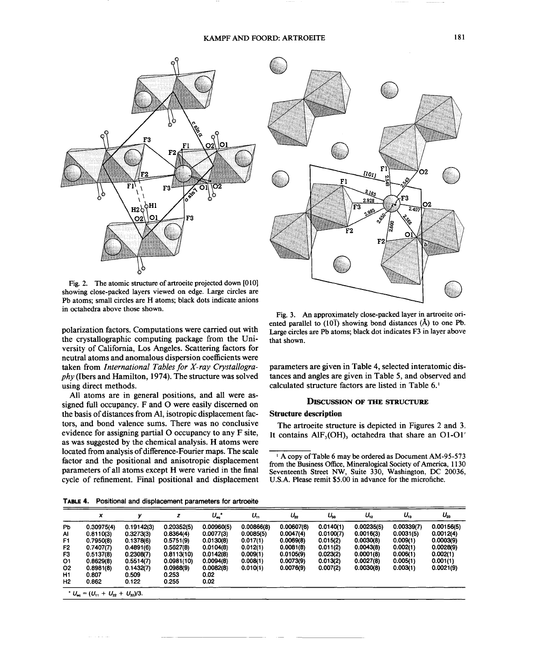

Fig. 2. The atomic structure of artroeite projected down [010] showing close-packed layers viewed on edge. Large circles are Pb atoms; small circles are H atoms; black dots indicate anions in octahedra above those shown.

polarization factors. Computations were carried out with the crystallographic computing package from the University of California, Los Angeles. Scattering factors for neutral atoms and anomalous dispersion coefficientswere taken from *International Tablesfor X-ray Crystallography* (Ibers and Hamilton, 1974). The structure was solved using direct methods.

All atoms are in general positions, and all were assigned full occupancy. F and O were easily discerned on the basis of distances from Al, isotropic displacement factors, and bond valence sums. There was no conclusive evidence for assigning partial 0 occupancy to any F site, as was suggested by the chemical analysis. H atoms were located from analysis of difference-Fourier maps. The scale factor and the positional and anisotropic displacement parameters of all atoms except H were varied in the final cycle of refinement. Final positional and displacement



Fig. 3. An approximately close-packed layer in artroeite oriented parallel to  $(10\bar{1})$  showing bond distances ( $\dot{A}$ ) to one Pb. Large circles are Pb atoms; black dot indicates F3 in layer above that shown.

parameters are given in Table 4, selected interatomic distances and angles are given in Table 5, and observed and calculated structure factors are listed in Table 6.<sup>1</sup>

#### DISCUSSION OF THE STRUCTURE

#### Structure description

The artroeite structure is depicted in Figures 2 and 3. It contains  $\text{AlF}_3(\text{OH})_3$  octahedra that share an O1-O1'

**TABLE**4. Positional and displacement parameters for artroeite

|                | x          | v          | z          | $U_{\rm eq}$ . | υ.         | $U_{22}$   | $U_{33}$  | $U_{12}$   | $U_{13}$   | $U_{23}$   |
|----------------|------------|------------|------------|----------------|------------|------------|-----------|------------|------------|------------|
| <b>Pb</b>      | 0.30975(4) | 0.19142(3) | 0.20352(5) | 0.00960(5)     | 0.00866(8) | 0.00607(6) | 0.0140(1) | 0.00235(5) | 0.00339(7) | 0.00156(5) |
| AI             | 0.8110(3)  | 0.3273(3)  | 0.8364(4)  | 0.0077(3)      | 0.0085(5)  | 0.0047(4)  | 0.0100(7) | 0.0016(3)  | 0.0031(5)  | 0.0012(4)  |
| F1             | 0.7950(8)  | 0.1378(6)  | 0.5751(9)  | 0.0130(8)      | 0.017(1)   | 0.0069(8)  | 0.015(2)  | 0.0030(8)  | 0.009(1)   | 0.0003(9)  |
| F <sub>2</sub> | 0.7407(7)  | 0.4891(6)  | 0.5627(8)  | 0.0104(8)      | 0.012(1)   | 0.0081(8)  | 0.011(2)  | 0.0043(8)  | 0.002(1)   | 0.0028(9)  |
| F3             | 0.5137(8)  | 0.2308(7)  | 0.8113(10) | 0.0142(8)      | 0.009(1)   | 0.0105(9)  | 0.023(2)  | 0.0001(8)  | 0.006(1)   | 0.002(1)   |
| 01             | 0.8629(8)  | 0.5514(7)  | 0.0981(10) | 0.0094(8)      | 0.008(1)   | 0.0073(9)  | 0.013(2)  | 0.0027(8)  | 0.005(1)   | 0.001(1)   |
| 02             | 0.8981(8)  | 0.1432(7)  | 0.0988(9)  | 0.0082(8)      | 0.010(1)   | 0.0076(9)  | 0.007(2)  | 0.0030(8)  | 0.003(1)   | 0.0021(9)  |
| H1             | 0.807      | 0.509      | 0.253      | 0.02           |            |            |           |            |            |            |
| H2             | 0.862      | 0.122      | 0.255      | 0.02           |            |            |           |            |            |            |

<sup>&</sup>lt;sup>1</sup> A copy of Table 6 may be ordered as Document AM-95-573 from the Business Office, Mineralogical Society of America, 1130 Seventeenth Street NW, Suite 330, Washington, DC 20036, U.S.A. Please remit \$5.00 in advance for the microfiche.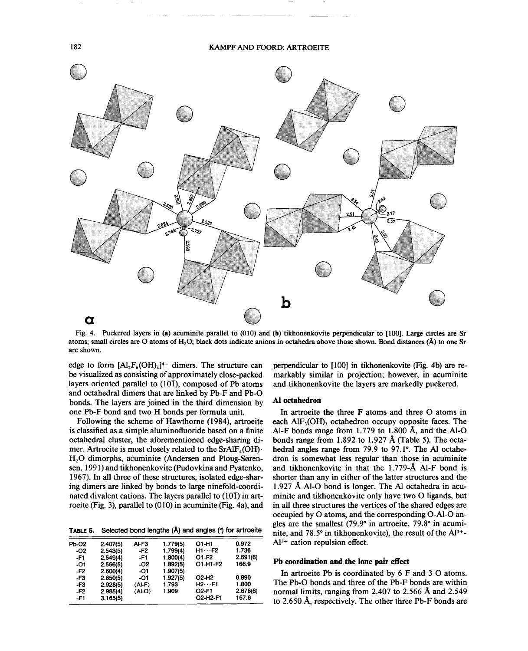# 182 KAMPF AND FOORD: ARTROEITE



Fig. 4. Puckered layers in (a) acuminite parallel to (010) and (b) tikhonenkovite perpendicular to [100]. Large circles are Sr atoms; small circles are O atoms of H<sub>2</sub>O; black dots indicate anions in octahedra above those shown. Bond distances (Å) to one Sr are shown.

edge to form  $[A1_2F_6(OH)_4]^{4-}$  dimers. The structure can be visualized as consisting of approximately close-packed layers oriented parallel to  $(10\bar{1})$ , composed of Pb atoms and octahedral dimers that are linked by Pb-F and Pb-O bonds. The layers are joined in the third dimension by one Pb-F bond and two H bonds per formula unit.

Following the scheme of Hawthorne (1984), artroeite is classified as a simple aluminofluoride based on a finite octahedral cluster, the aforementioned edge-sharing dimer. Artroeite is most closely related to the  $SrAlF<sub>4</sub>(OH)$ . H<sub>2</sub>O dimorphs, acuminite (Andersen and Ploug-Sørensen, 1991) and tikhonenkovite (Pudovkina and Pyatenko, 1967). In all three of these structures, isolated edge-sharing dimers are linked by bonds to large ninefold-coordinated divalent cations. The layers parallel to  $(10\bar{1})$  in artroeite (Fig. 3), parallel to (010) in acuminite (Fig. 4a), and

TABLE 5. Selected bond lengths (A) and angles (") for artroeite

| Pb-02 | 2.407(5) | Al-F3                    | 1.779(5) | O1-H1                          | 0.972    |
|-------|----------|--------------------------|----------|--------------------------------|----------|
| -02   | 2.543(5) | -F2                      | 1.799(4) | $H1 \cdots F2$                 | 1.736    |
| -F1   | 2.549(4) | -F1                      | 1.800(4) | O1-F2                          | 2.691(6) |
| -01   | 2.566(5) | -02                      | 1.892(5) | 01-H1-F2                       | 166.9    |
| $-F2$ | 2.600(4) | -01                      | 1.907(5) |                                |          |
| -F3   | 2.650(5) | -01                      | 1.927(5) | O <sub>2</sub> -H <sub>2</sub> | 0.890    |
| -F3   | 2.928(5) | $\langle$ Al-F $\rangle$ | 1.793    | $H2 \cdots F1$                 | 1.800    |
| $-F2$ | 2.985(4) | (AI-O)                   | 1.909    | <b>O2-F1</b>                   | 2.676(6) |
| -F1   | 3.165(5) |                          |          | O2-H2-F1                       | 167.6    |
|       |          |                          |          |                                |          |

perpendicular to [100] in tikhonenkovite (Fig. 4b) are remarkably similar in projection; however, in acuminite and tikhonenkovite the layers are markedly puckered.

#### Al octahedron

In artroeite the three F atoms and three 0 atoms in each  $\text{AlF}_3(\text{OH})$ <sub>3</sub> octahedron occupy opposite faces. The Al-F bonds range from 1.779 to 1.800 A, and the Al-O bonds range from 1.892 to 1.927 A (Table 5). The octahedral angles range from 79.9 to 97.1°. The Al octahedron is somewhat less regular than those in acuminite and tikhonenkovite in that the 1.779-A AI-F bond is shorter than any in either of the latter structures and the 1.927 A AI-O bond is longer. The Al octahedra in acuminite and tikhonenkovite only have two O ligands, but in all three structures the vertices of the shared edges are occupied by 0 atoms, and the corresponding O-AI-O angles are the smallest (79.9° in artroeite, 79.8° in acuminite, and 78.5° in tikhonenkovite), the result of the  $Al^{3+}$ - $Al<sup>3+</sup>$  cation repulsion effect.

## Pb coordination and the lone pair effect

In artroeite Pb is coordinated by 6 F and 3 0 atoms. The Pb-O bonds and three of the Pb-F bonds are within normal limits, ranging from 2.407 to 2.566 A and 2.549 to 2.650 A, respectively. The other three Pb-F bonds are